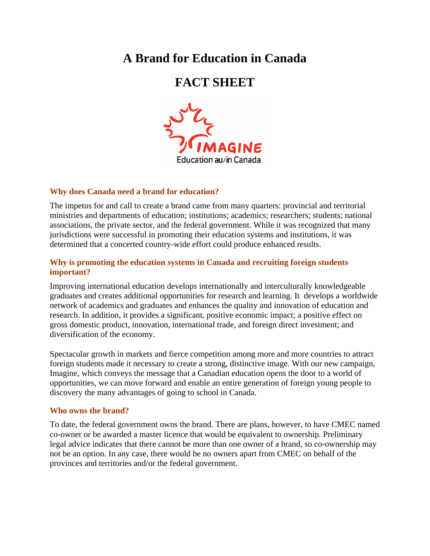# **A Brand for Education in Canada**

# **FACT SHEET**



# **Why does Canada need a brand for education?**

The impetus for and call to create a brand came from many quarters: provincial and territorial ministries and departments of education; institutions; academics; researchers; students; national associations, the private sector, and the federal government. While it was recognized that many jurisdictions were successful in promoting their education systems and institutions, it was determined that a concerted country-wide effort could produce enhanced results.

# **Why is promoting the education systems in Canada and recruiting foreign students important?**

Improving international education develops internationally and interculturally knowledgeable graduates and creates additional opportunities for research and learning. It develops a worldwide network of academics and graduates and enhances the quality and innovation of education and research. In addition, it provides a significant, positive economic impact; a positive effect on gross domestic product, innovation, international trade, and foreign direct investment; and diversification of the economy.

Spectacular growth in markets and fierce competition among more and more countries to attract foreign students made it necessary to create a strong, distinctive image. With our new campaign, Imagine, which conveys the message that a Canadian education opens the door to a world of opportunities, we can move forward and enable an entire generation of foreign young people to discovery the many advantages of going to school in Canada.

# **Who owns the brand?**

To date, the federal government owns the brand. There are plans, however, to have CMEC named co-owner or be awarded a master licence that would be equivalent to ownership. Preliminary legal advice indicates that there cannot be more than one owner of a brand, so co-ownership may not be an option. In any case, there would be no owners apart from CMEC on behalf of the provinces and territories and/or the federal government.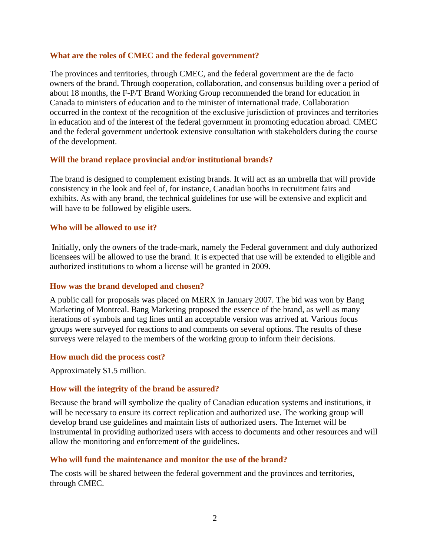#### **What are the roles of CMEC and the federal government?**

The provinces and territories, through CMEC, and the federal government are the de facto owners of the brand. Through cooperation, collaboration, and consensus building over a period of about 18 months, the F-P/T Brand Working Group recommended the brand for education in Canada to ministers of education and to the minister of international trade. Collaboration occurred in the context of the recognition of the exclusive jurisdiction of provinces and territories in education and of the interest of the federal government in promoting education abroad. CMEC and the federal government undertook extensive consultation with stakeholders during the course of the development.

# **Will the brand replace provincial and/or institutional brands?**

The brand is designed to complement existing brands. It will act as an umbrella that will provide consistency in the look and feel of, for instance, Canadian booths in recruitment fairs and exhibits. As with any brand, the technical guidelines for use will be extensive and explicit and will have to be followed by eligible users.

#### **Who will be allowed to use it?**

 Initially, only the owners of the trade-mark, namely the Federal government and duly authorized licensees will be allowed to use the brand. It is expected that use will be extended to eligible and authorized institutions to whom a license will be granted in 2009.

# **How was the brand developed and chosen?**

A public call for proposals was placed on MERX in January 2007. The bid was won by Bang Marketing of Montreal. Bang Marketing proposed the essence of the brand, as well as many iterations of symbols and tag lines until an acceptable version was arrived at. Various focus groups were surveyed for reactions to and comments on several options. The results of these surveys were relayed to the members of the working group to inform their decisions.

#### **How much did the process cost?**

Approximately \$1.5 million.

# **How will the integrity of the brand be assured?**

Because the brand will symbolize the quality of Canadian education systems and institutions, it will be necessary to ensure its correct replication and authorized use. The working group will develop brand use guidelines and maintain lists of authorized users. The Internet will be instrumental in providing authorized users with access to documents and other resources and will allow the monitoring and enforcement of the guidelines.

# **Who will fund the maintenance and monitor the use of the brand?**

The costs will be shared between the federal government and the provinces and territories, through CMEC.